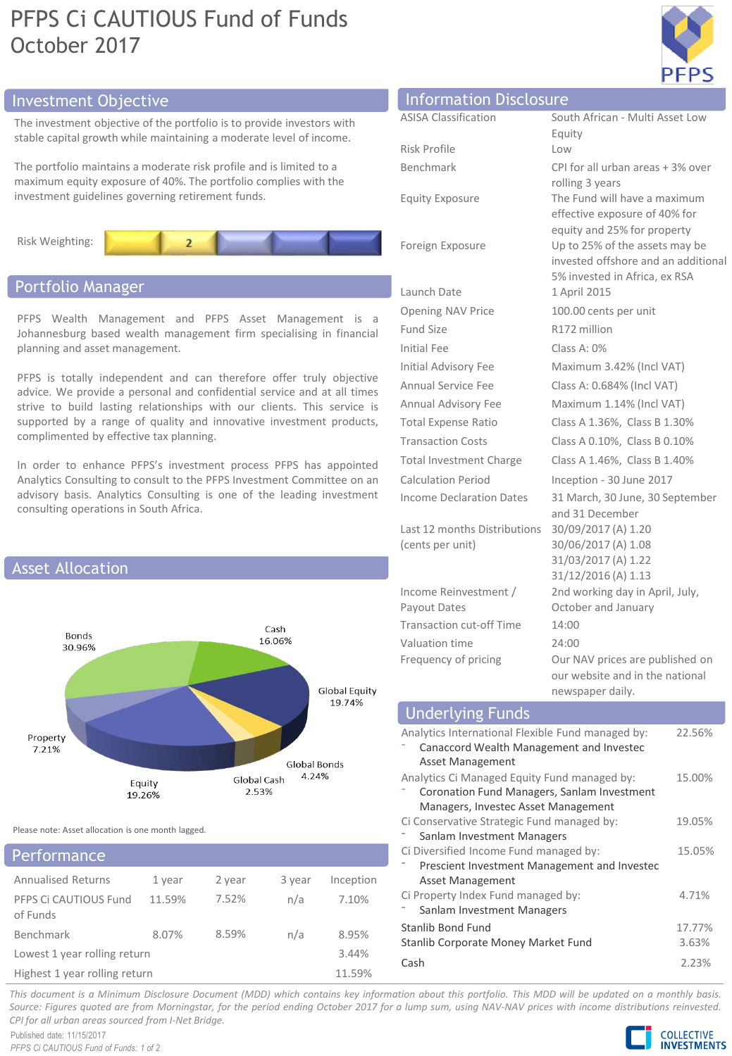# PFPS Ci CAUTIOUS Fund of Funds October 2017



# Investment Objective

The investment objective of the portfolio is to provide investors with stable capital growth while maintaining a moderate level of income.

The portfolio maintains a moderate risk profile and is limited to a maximum equity exposure of 40%. The portfolio complies with the investment guidelines governing retirement funds.



# Portfolio Manager

PFPS Wealth Management and PFPS Asset Management is a Johannesburg based wealth management firm specialising in financial planning and asset management.

PFPS is totally independent and can therefore offer truly objective advice. We provide a personal and confidential service and at all times strive to build lasting relationships with our clients. This service is supported by a range of quality and innovative investment products, complimented by effective tax planning.

In order to enhance PFPS's investment process PFPS has appointed Analytics Consulting to consult to the PFPS Investment Committee on an advisory basis. Analytics Consulting is one of the leading investment consulting operations in South Africa.



Please note: Asset allocation is one month lagged.

# Annualised Returns 1 year 2 year 3 year Inception PFPS Ci CAUTIOUS Fund Performance

| PFPS Ci CAUTIOUS Fund         | 11.59% | 7.52% | n/a | 7.10%  |
|-------------------------------|--------|-------|-----|--------|
| of Funds                      |        |       |     |        |
| Benchmark                     | 8.07%  | 8.59% | n/a | 8.95%  |
| Lowest 1 year rolling return  |        |       |     | 3.44%  |
| Highest 1 year rolling return |        |       |     | 11.59% |

| Information Disclosure          |                                                               |  |
|---------------------------------|---------------------------------------------------------------|--|
| <b>ASISA Classification</b>     | South African - Multi Asset Low                               |  |
|                                 | Equity                                                        |  |
| Risk Profile                    | Low                                                           |  |
| <b>Benchmark</b>                | CPI for all urban areas + 3% over                             |  |
|                                 | rolling 3 years                                               |  |
| <b>Equity Exposure</b>          | The Fund will have a maximum<br>effective exposure of 40% for |  |
|                                 | equity and 25% for property                                   |  |
| Foreign Exposure                | Up to 25% of the assets may be                                |  |
|                                 | invested offshore and an additional                           |  |
|                                 | 5% invested in Africa, ex RSA                                 |  |
| Launch Date                     | 1 April 2015                                                  |  |
| <b>Opening NAV Price</b>        | 100.00 cents per unit                                         |  |
| <b>Fund Size</b>                | R172 million                                                  |  |
| <b>Initial Fee</b>              | $Class A: 0\%$                                                |  |
| Initial Advisory Fee            | Maximum 3.42% (Incl VAT)                                      |  |
| <b>Annual Service Fee</b>       | Class A: 0.684% (Incl VAT)                                    |  |
| Annual Advisory Fee             | Maximum 1.14% (Incl VAT)                                      |  |
| Total Expense Ratio             | Class A 1.36%, Class B 1.30%                                  |  |
| <b>Transaction Costs</b>        | Class A 0.10%, Class B 0.10%                                  |  |
| <b>Total Investment Charge</b>  | Class A 1.46%, Class B 1.40%                                  |  |
| <b>Calculation Period</b>       | Inception - 30 June 2017                                      |  |
| <b>Income Declaration Dates</b> | 31 March, 30 June, 30 September<br>and 31 December            |  |
| Last 12 months Distributions    | 30/09/2017 (A) 1.20                                           |  |
| (cents per unit)                | 30/06/2017 (A) 1.08                                           |  |
|                                 | 31/03/2017 (A) 1.22                                           |  |
|                                 | 31/12/2016 (A) 1.13                                           |  |
| Income Reinvestment /           | 2nd working day in April, July,                               |  |
| Payout Dates                    | October and January                                           |  |
| <b>Transaction cut-off Time</b> | 14:00                                                         |  |
| Valuation time                  | 24:00                                                         |  |
| Frequency of pricing            | Our NAV prices are published on                               |  |
|                                 | our website and in the national                               |  |

#### newspaper daily. Analytics International Flexible Fund managed by: ⁻ Canaccord Wealth Management and Investec Asset Management 22.56% Analytics Ci Managed Equity Fund managed by: ⁻ Coronation Fund Managers, Sanlam Investment Managers, Investec Asset Management 15.00% Ci Conservative Strategic Fund managed by: Sanlam Investment Managers 19.05% Ci Diversified Income Fund managed by: ⁻ Prescient Investment Management and Investec Asset Management 15.05% Ci Property Index Fund managed by: Sanlam Investment Managers 4.71% Stanlib Bond Fund 17.77% Stanlib Corporate Money Market Fund 3.63% Cash 2.23% **Underlying Funds**

This document is a Minimum Disclosure Document (MDD) which contains key information about this portfolio. This MDD will be updated on a monthly basis. Source: Figures quoted are from Morningstar, for the period ending October 2017 for a lump sum, using NAV-NAV prices with income distributions reinvested. *CPI for all urban areas sourced from I-Net Bridge.*

Published date: 11/15/2017 *PFPS Ci CAUTIOUS Fund of Funds: 1 of 2*